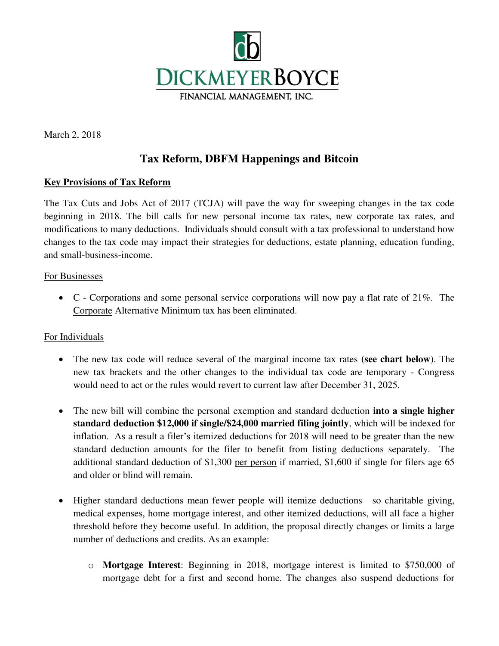

March 2, 2018

# **Tax Reform, DBFM Happenings and Bitcoin**

# **Key Provisions of Tax Reform**

The Tax Cuts and Jobs Act of 2017 (TCJA) will pave the way for sweeping changes in the tax code beginning in 2018. The bill calls for new personal income tax rates, new corporate tax rates, and modifications to many deductions. Individuals should consult with a tax professional to understand how changes to the tax code may impact their strategies for deductions, estate planning, education funding, and small-business-income.

## For Businesses

 $\bullet$  C - Corporations and some personal service corporations will now pay a flat rate of 21%. The Corporate Alternative Minimum tax has been eliminated.

## For Individuals

- The new tax code will reduce several of the marginal income tax rates **(see chart below**). The new tax brackets and the other changes to the individual tax code are temporary - Congress would need to act or the rules would revert to current law after December 31, 2025.
- The new bill will combine the personal exemption and standard deduction **into a single higher standard deduction \$12,000 if single/\$24,000 married filing jointly**, which will be indexed for inflation. As a result a filer's itemized deductions for 2018 will need to be greater than the new standard deduction amounts for the filer to benefit from listing deductions separately. The additional standard deduction of \$1,300 per person if married, \$1,600 if single for filers age 65 and older or blind will remain.
- Higher standard deductions mean fewer people will itemize deductions—so charitable giving, medical expenses, home mortgage interest, and other itemized deductions, will all face a higher threshold before they become useful. In addition, the proposal directly changes or limits a large number of deductions and credits. As an example:
	- o **Mortgage Interest**: Beginning in 2018, mortgage interest is limited to \$750,000 of mortgage debt for a first and second home. The changes also suspend deductions for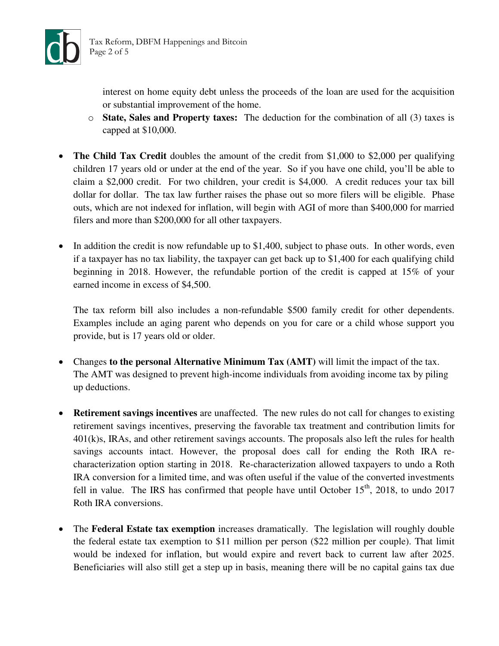

interest on home equity debt unless the proceeds of the loan are used for the acquisition or substantial improvement of the home.

- o **State, Sales and Property taxes:** The deduction for the combination of all (3) taxes is capped at \$10,000.
- **The Child Tax Credit** doubles the amount of the credit from \$1,000 to \$2,000 per qualifying children 17 years old or under at the end of the year. So if you have one child, you'll be able to claim a \$2,000 credit. For two children, your credit is \$4,000. A credit reduces your tax bill dollar for dollar. The tax law further raises the phase out so more filers will be eligible. Phase outs, which are not indexed for inflation, will begin with AGI of more than \$400,000 for married filers and more than \$200,000 for all other taxpayers.
- $\bullet$  In addition the credit is now refundable up to \$1,400, subject to phase outs. In other words, even if a taxpayer has no tax liability, the taxpayer can get back up to \$1,400 for each qualifying child beginning in 2018. However, the refundable portion of the credit is capped at 15% of your earned income in excess of \$4,500.

The tax reform bill also includes a non-refundable \$500 family credit for other dependents. Examples include an aging parent who depends on you for care or a child whose support you provide, but is 17 years old or older.

- Changes **to the personal Alternative Minimum Tax (AMT)** will limit the impact of the tax. The AMT was designed to prevent high-income individuals from avoiding income tax by piling up deductions.
- **Retirement savings incentives** are unaffected. The new rules do not call for changes to existing retirement savings incentives, preserving the favorable tax treatment and contribution limits for 401(k)s, IRAs, and other retirement savings accounts. The proposals also left the rules for health savings accounts intact. However, the proposal does call for ending the Roth IRA recharacterization option starting in 2018. Re-characterization allowed taxpayers to undo a Roth IRA conversion for a limited time, and was often useful if the value of the converted investments fell in value. The IRS has confirmed that people have until October  $15<sup>th</sup>$ , 2018, to undo 2017 Roth IRA conversions.
- The **Federal Estate tax exemption** increases dramatically. The legislation will roughly double the federal estate tax exemption to \$11 million per person (\$22 million per couple). That limit would be indexed for inflation, but would expire and revert back to current law after 2025. Beneficiaries will also still get a step up in basis, meaning there will be no capital gains tax due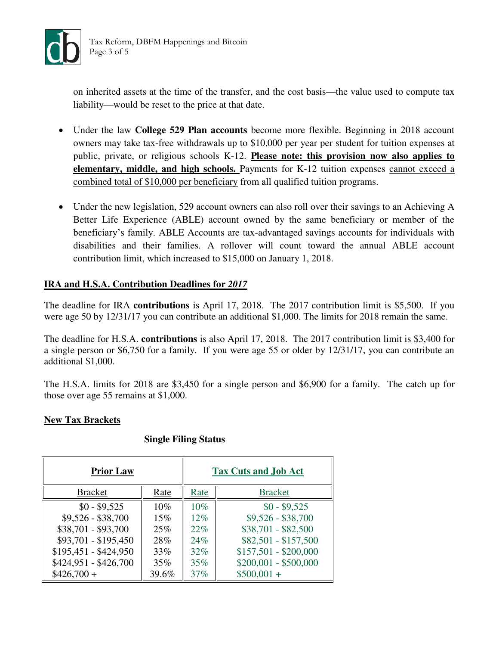

on inherited assets at the time of the transfer, and the cost basis—the value used to compute tax liability—would be reset to the price at that date.

- Under the law **College 529 Plan accounts** become more flexible. Beginning in 2018 account owners may take tax-free withdrawals up to \$10,000 per year per student for tuition expenses at public, private, or religious schools K-12. **Please note: this provision now also applies to elementary, middle, and high schools.** Payments for K-12 tuition expenses cannot exceed a combined total of \$10,000 per beneficiary from all qualified tuition programs.
- Under the new legislation, 529 account owners can also roll over their savings to an Achieving A Better Life Experience (ABLE) account owned by the same beneficiary or member of the beneficiary's family. ABLE Accounts are tax-advantaged savings accounts for individuals with disabilities and their families. A rollover will count toward the annual ABLE account contribution limit, which increased to \$15,000 on January 1, 2018.

# **IRA and H.S.A. Contribution Deadlines for** *2017*

The deadline for IRA **contributions** is April 17, 2018. The 2017 contribution limit is \$5,500. If you were age 50 by 12/31/17 you can contribute an additional \$1,000. The limits for 2018 remain the same.

The deadline for H.S.A. **contributions** is also April 17, 2018. The 2017 contribution limit is \$3,400 for a single person or \$6,750 for a family. If you were age 55 or older by 12/31/17, you can contribute an additional \$1,000.

The H.S.A. limits for 2018 are \$3,450 for a single person and \$6,900 for a family. The catch up for those over age 55 remains at \$1,000.

## **New Tax Brackets**

#### **Single Filing Status**

| <b>Prior Law</b>      |       | <b>Tax Cuts and Job Act</b> |                       |
|-----------------------|-------|-----------------------------|-----------------------|
| <b>Bracket</b>        | Rate  | Rate                        | <b>Bracket</b>        |
| $$0 - $9,525$         | 10%   | 10%                         | $$0 - $9,525$         |
| $$9,526 - $38,700$    | 15%   | $12\%$                      | $$9,526 - $38,700$    |
| \$38,701 - \$93,700   | 25%   | 22%                         | $$38,701 - $82,500$   |
| \$93,701 - \$195,450  | 28%   | 24%                         | \$82,501 - \$157,500  |
| $$195,451 - $424,950$ | 33%   | $32\%$                      | $$157,501 - $200,000$ |
| \$424,951 - \$426,700 | 35%   | 35%                         | $$200,001 - $500,000$ |
| $$426,700+$           | 39.6% | 37%                         | $$500,001 +$          |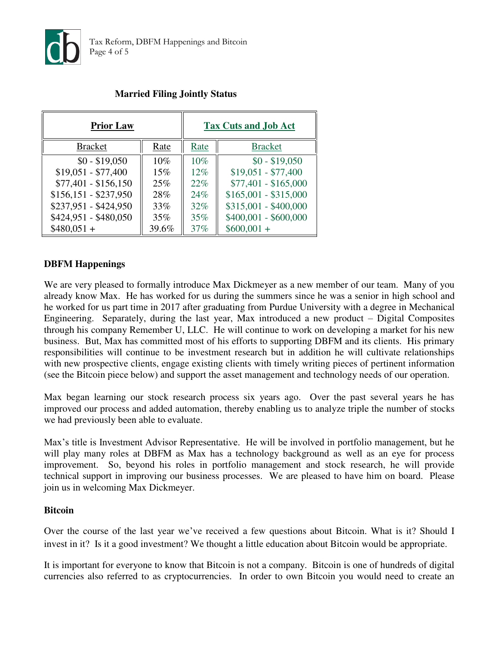

| <b>Prior Law</b>      |       | <b>Tax Cuts and Job Act</b> |                       |  |
|-----------------------|-------|-----------------------------|-----------------------|--|
| <b>Bracket</b>        | Rate  | Rate                        | <b>Bracket</b>        |  |
| $$0 - $19,050$        | 10%   | 10%                         | $$0 - $19,050$        |  |
| $$19,051 - $77,400$   | 15%   | 12%                         | $$19,051 - $77,400$   |  |
| $$77,401 - $156,150$  | 25%   | 22%                         | $$77,401 - $165,000$  |  |
| $$156,151 - $237,950$ | 28%   | 24%                         | $$165,001 - $315,000$ |  |
| \$237,951 - \$424,950 | 33%   | $32\%$                      | $$315,001 - $400,000$ |  |
| \$424,951 - \$480,050 | 35%   | 35%                         | $$400,001 - $600,000$ |  |
| $$480,051+$           | 39.6% | 37%                         | $$600,001 +$          |  |

# **Married Filing Jointly Status**

## **DBFM Happenings**

We are very pleased to formally introduce Max Dickmeyer as a new member of our team. Many of you already know Max. He has worked for us during the summers since he was a senior in high school and he worked for us part time in 2017 after graduating from Purdue University with a degree in Mechanical Engineering. Separately, during the last year, Max introduced a new product – Digital Composites through his company Remember U, LLC. He will continue to work on developing a market for his new business. But, Max has committed most of his efforts to supporting DBFM and its clients. His primary responsibilities will continue to be investment research but in addition he will cultivate relationships with new prospective clients, engage existing clients with timely writing pieces of pertinent information (see the Bitcoin piece below) and support the asset management and technology needs of our operation.

Max began learning our stock research process six years ago. Over the past several years he has improved our process and added automation, thereby enabling us to analyze triple the number of stocks we had previously been able to evaluate.

Max's title is Investment Advisor Representative. He will be involved in portfolio management, but he will play many roles at DBFM as Max has a technology background as well as an eye for process improvement. So, beyond his roles in portfolio management and stock research, he will provide technical support in improving our business processes. We are pleased to have him on board. Please join us in welcoming Max Dickmeyer.

#### **Bitcoin**

Over the course of the last year we've received a few questions about Bitcoin. What is it? Should I invest in it? Is it a good investment? We thought a little education about Bitcoin would be appropriate.

It is important for everyone to know that Bitcoin is not a company. Bitcoin is one of hundreds of digital currencies also referred to as cryptocurrencies. In order to own Bitcoin you would need to create an